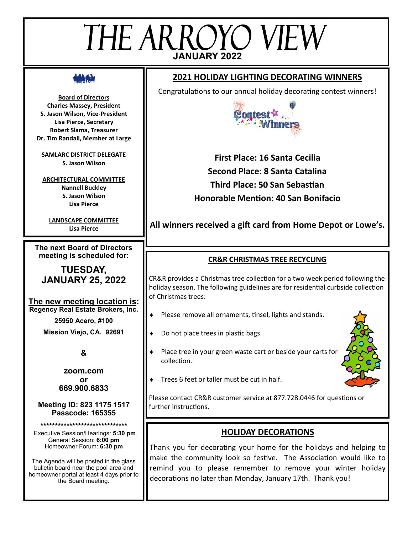# THE ARROYO VIEW **JANUARY 2022**

**Board of Directors Charles Massey, President S. Jason Wilson, Vice-President Lisa Pierce, Secretary Robert Slama, Treasurer Dr. Tim Randall, Member at Large**

**SAMLARC DISTRICT DELEGATE S. Jason Wilson**

**ARCHITECTURAL COMMITTEE Nannell Buckley S. Jason Wilson Lisa Pierce**

**LANDSCAPE COMMITTEE Lisa Pierce**

**The next Board of Directors meeting is scheduled for:**

**TUESDAY, JANUARY 25, 2022**

**The new meeting location is: Regency Real Estate Brokers, Inc.**

**25950 Acero, #100**

**Mission Viejo, CA. 92691**

**&**

**zoom.com or 669.900.6833**

**Meeting ID: 823 1175 1517 Passcode: 165355**

**\*\*\*\*\*\*\*\*\*\*\*\*\*\*\*\*\*\*\*\*\*\*\*\*\*\*\*\*\*\***

Executive Session/Hearings: **5:30 pm** General Session: **6:00 pm** Homeowner Forum: **6:30 pm**

The Agenda will be posted in the glass bulletin board near the pool area and homeowner portal at least 4 days prior to the Board meeting.

# **2021 HOLIDAY LIGHTING DECORATING WINNERS**

Congratulations to our annual holiday decorating contest winners!



**First Place: 16 Santa Cecilia Second Place: 8 Santa Catalina Third Place: 50 San Sebastian Honorable Mention: 40 San Bonifacio**

# **All winners received a gift card from Home Depot or Lowe's.**

## **CR&R CHRISTMAS TREE RECYCLING**

CR&R provides a Christmas tree collection for a two week period following the holiday season. The following guidelines are for residential curbside collection of Christmas trees:

- ◆ Please remove all ornaments, tinsel, lights and stands.
- Do not place trees in plastic bags.
- Place tree in your green waste cart or beside your carts for collection.



Trees 6 feet or taller must be cut in half.

Please contact CR&R customer service at 877.728.0446 for questions or further instructions.

# **HOLIDAY DECORATIONS**

Thank you for decorating your home for the holidays and helping to make the community look so festive. The Association would like to remind you to please remember to remove your winter holiday decorations no later than Monday, January 17th. Thank you!